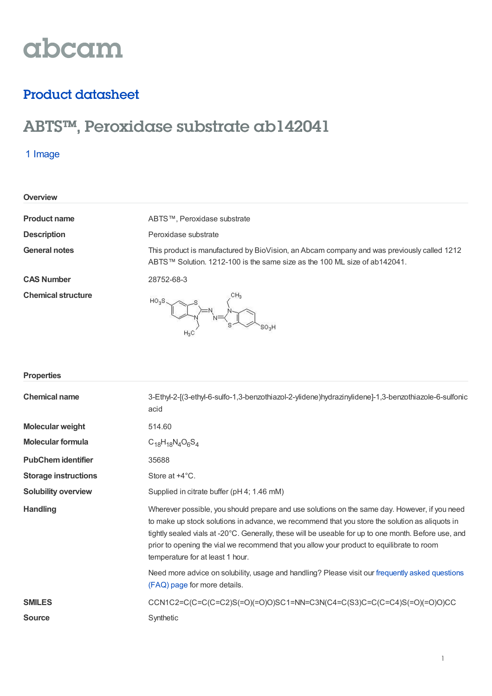# abcam

## Product datasheet

## ABTS™ , Peroxidase substrate ab142041

## 1 Image

| Overview                  |                                                                                                                                                                         |
|---------------------------|-------------------------------------------------------------------------------------------------------------------------------------------------------------------------|
| <b>Product name</b>       | ABTS™, Peroxidase substrate                                                                                                                                             |
| <b>Description</b>        | Peroxidase substrate                                                                                                                                                    |
| <b>General notes</b>      | This product is manufactured by BioVision, an Abcam company and was previously called 1212<br>ABTS™ Solution. 1212-100 is the same size as the 100 ML size of ab142041. |
| <b>CAS Number</b>         | 28752-68-3                                                                                                                                                              |
| <b>Chemical structure</b> | CH <sub>3</sub><br>HO <sub>2</sub> S<br>'SO <sub>3</sub> H<br>$H_3C$                                                                                                    |

| <b>Properties</b>           |                                                                                                                                                                                                                                                                                                                                                                                                                                          |
|-----------------------------|------------------------------------------------------------------------------------------------------------------------------------------------------------------------------------------------------------------------------------------------------------------------------------------------------------------------------------------------------------------------------------------------------------------------------------------|
| <b>Chemical name</b>        | 3-Ethyl-2-[(3-ethyl-6-sulfo-1,3-benzothiazol-2-ylidene)hydrazinylidene]-1,3-benzothiazole-6-sulfonic<br>acid                                                                                                                                                                                                                                                                                                                             |
| <b>Molecular weight</b>     | 514.60                                                                                                                                                                                                                                                                                                                                                                                                                                   |
| <b>Molecular formula</b>    | $C_{18}H_{18}N_{4}O_{6}S_{4}$                                                                                                                                                                                                                                                                                                                                                                                                            |
| <b>PubChem identifier</b>   | 35688                                                                                                                                                                                                                                                                                                                                                                                                                                    |
| <b>Storage instructions</b> | Store at $+4^{\circ}$ C.                                                                                                                                                                                                                                                                                                                                                                                                                 |
| <b>Solubility overview</b>  | Supplied in citrate buffer (pH 4; 1.46 mM)                                                                                                                                                                                                                                                                                                                                                                                               |
| <b>Handling</b>             | Wherever possible, you should prepare and use solutions on the same day. However, if you need<br>to make up stock solutions in advance, we recommend that you store the solution as aliquots in<br>tightly sealed vials at -20°C. Generally, these will be useable for up to one month. Before use, and<br>prior to opening the vial we recommend that you allow your product to equilibrate to room<br>temperature for at least 1 hour. |
|                             | Need more advice on solubility, usage and handling? Please visit our frequently asked questions<br>(FAQ) page for more details.                                                                                                                                                                                                                                                                                                          |
| <b>SMILES</b>               | CCN1C2=C(C=C(C=C2)S(=O)(=O)O)SC1=NN=C3N(C4=C(S3)C=C(C=C4)S(=O)(=O)O)CC                                                                                                                                                                                                                                                                                                                                                                   |
| <b>Source</b>               | Synthetic                                                                                                                                                                                                                                                                                                                                                                                                                                |